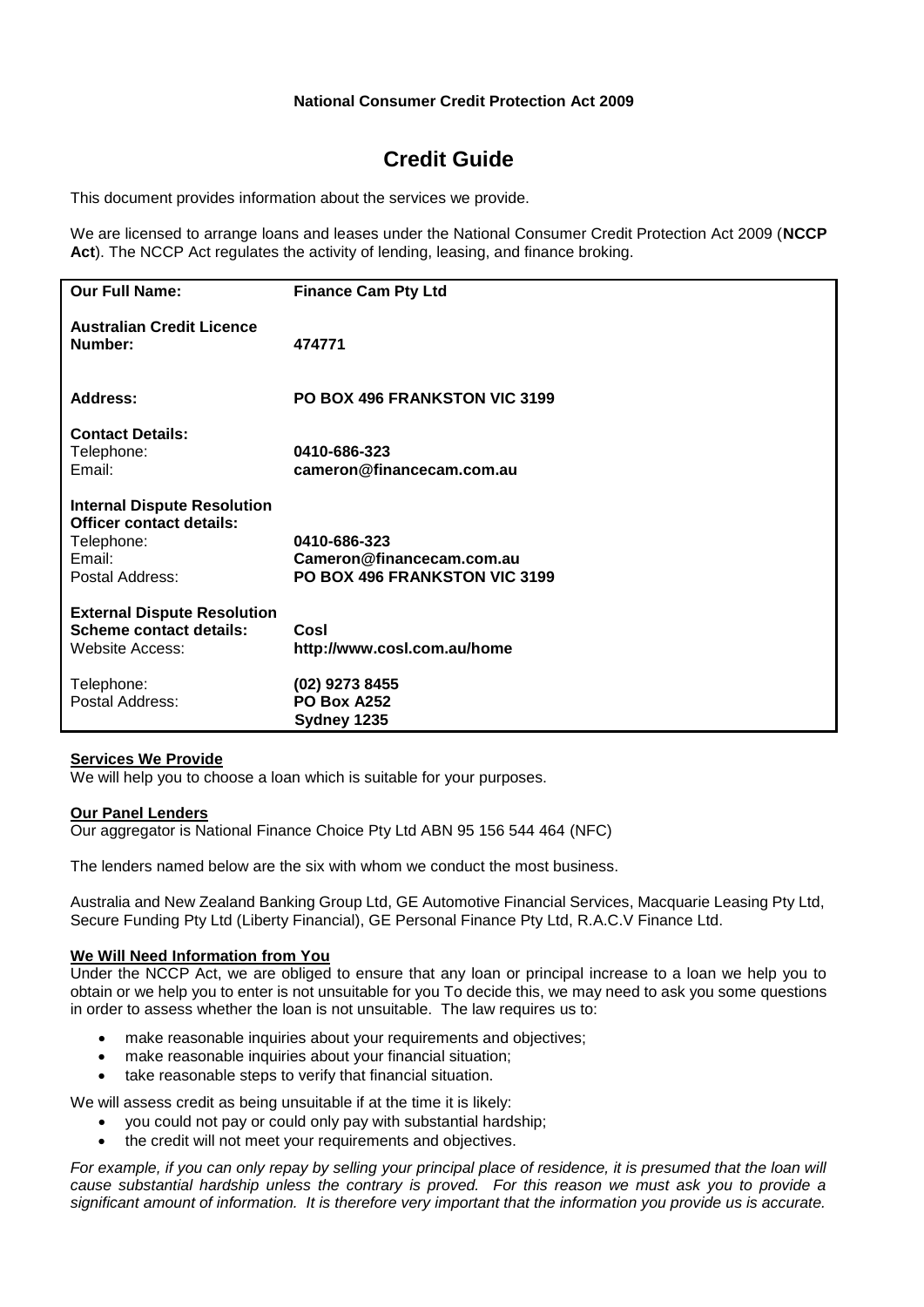# **National Consumer Credit Protection Act 2009**

# **Credit Guide**

This document provides information about the services we provide.

We are licensed to arrange loans and leases under the National Consumer Credit Protection Act 2009 (**NCCP Act**). The NCCP Act regulates the activity of lending, leasing, and finance broking.

| <b>Our Full Name:</b>                                                                                            | <b>Finance Cam Pty Ltd</b>                                                 |
|------------------------------------------------------------------------------------------------------------------|----------------------------------------------------------------------------|
| <b>Australian Credit Licence</b><br>Number:                                                                      | 474771                                                                     |
| Address:                                                                                                         | PO BOX 496 FRANKSTON VIC 3199                                              |
| <b>Contact Details:</b><br>Telephone:<br>Email:                                                                  | 0410-686-323<br>cameron@financecam.com.au                                  |
| <b>Internal Dispute Resolution</b><br><b>Officer contact details:</b><br>Telephone:<br>Email:<br>Postal Address: | 0410-686-323<br>Cameron@financecam.com.au<br>PO BOX 496 FRANKSTON VIC 3199 |
| <b>External Dispute Resolution</b><br><b>Scheme contact details:</b><br>Website Access:                          | Cosl<br>http://www.cosl.com.au/home                                        |
| Telephone:<br>Postal Address:                                                                                    | (02) 9273 8455<br><b>PO Box A252</b><br>Sydney 1235                        |

## **Services We Provide**

We will help you to choose a loan which is suitable for your purposes.

#### **Our Panel Lenders**

Our aggregator is National Finance Choice Pty Ltd ABN 95 156 544 464 (NFC)

The lenders named below are the six with whom we conduct the most business.

Australia and New Zealand Banking Group Ltd, GE Automotive Financial Services, Macquarie Leasing Pty Ltd, Secure Funding Pty Ltd (Liberty Financial), GE Personal Finance Pty Ltd, R.A.C.V Finance Ltd.

## **We Will Need Information from You**

Under the NCCP Act, we are obliged to ensure that any loan or principal increase to a loan we help you to obtain or we help you to enter is not unsuitable for you To decide this, we may need to ask you some questions in order to assess whether the loan is not unsuitable. The law requires us to:

- make reasonable inquiries about your requirements and objectives;
- make reasonable inquiries about your financial situation;
- take reasonable steps to verify that financial situation.

We will assess credit as being unsuitable if at the time it is likely:

- you could not pay or could only pay with substantial hardship;
- the credit will not meet your requirements and objectives.

For example, if you can only repay by selling your principal place of residence, it is presumed that the loan will *cause substantial hardship unless the contrary is proved. For this reason we must ask you to provide a significant amount of information. It is therefore very important that the information you provide us is accurate.*